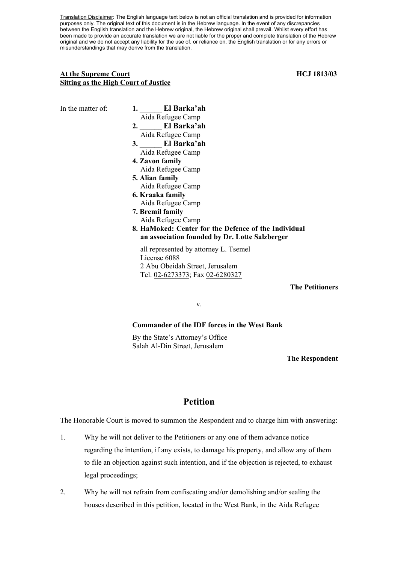Translation Disclaimer: The English language text below is not an official translation and is provided for information purposes only. The original text of this document is in the Hebrew language. In the event of any discrepancies between the English translation and the Hebrew original, the Hebrew original shall prevail. Whilst every effort has been made to provide an accurate translation we are not liable for the proper and complete translation of the Hebrew original and we do not accept any liability for the use of, or reliance on, the English translation or for any errors or misunderstandings that may derive from the translation.

## At the Supreme Court **HCJ** 1813/03 **Sitting as the High Court of Justice**

In the matter of: **1. El Barka'ah** Aida Refugee Camp **2.** \_\_\_\_\_\_ **El Barka'ah** Aida Refugee Camp **3.** \_\_\_\_\_\_ **El Barka'ah** Aida Refugee Camp **4. Zavon family**  Aida Refugee Camp **5. Alian family**  Aida Refugee Camp **6. Kraaka family**  Aida Refugee Camp **7. Bremil family**  Aida Refugee Camp **8. HaMoked: Center for the Defence of the Individual an association founded by Dr. Lotte Salzberger**  all represented by attorney L. Tsemel License 6088 2 Abu Obeidah Street, Jerusalem Tel. 02-6273373; Fax 02-6280327

**The Petitioners**

v.

### **Commander of the IDF forces in the West Bank**

By the State's Attorney's Office Salah Al-Din Street, Jerusalem

#### **The Respondent**

# **Petition**

The Honorable Court is moved to summon the Respondent and to charge him with answering:

- 1. Why he will not deliver to the Petitioners or any one of them advance notice regarding the intention, if any exists, to damage his property, and allow any of them to file an objection against such intention, and if the objection is rejected, to exhaust legal proceedings;
- 2. Why he will not refrain from confiscating and/or demolishing and/or sealing the houses described in this petition, located in the West Bank, in the Aida Refugee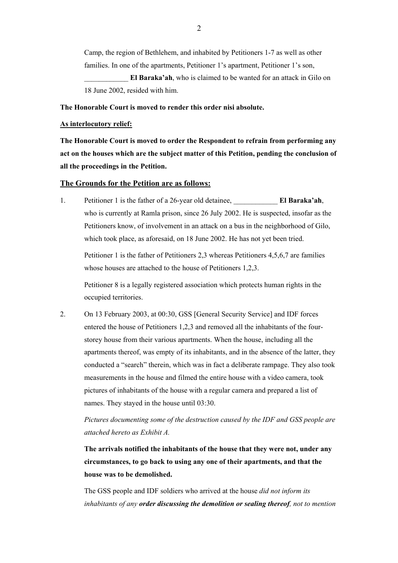Camp, the region of Bethlehem, and inhabited by Petitioners 1-7 as well as other families. In one of the apartments, Petitioner 1's apartment, Petitioner 1's son,

El Baraka'ah, who is claimed to be wanted for an attack in Gilo on 18 June 2002, resided with him.

## **The Honorable Court is moved to render this order nisi absolute.**

### **As interlocutory relief:**

**The Honorable Court is moved to order the Respondent to refrain from performing any act on the houses which are the subject matter of this Petition, pending the conclusion of all the proceedings in the Petition.** 

#### **The Grounds for the Petition are as follows:**

1. Petitioner 1 is the father of a 26-year old detainee, \_\_\_\_\_\_\_\_\_\_\_\_ **El Baraka'ah**, who is currently at Ramla prison, since 26 July 2002. He is suspected, insofar as the Petitioners know, of involvement in an attack on a bus in the neighborhood of Gilo, which took place, as aforesaid, on 18 June 2002. He has not yet been tried.

Petitioner 1 is the father of Petitioners 2,3 whereas Petitioners 4,5,6,7 are families whose houses are attached to the house of Petitioners 1,2,3.

Petitioner 8 is a legally registered association which protects human rights in the occupied territories.

2. On 13 February 2003, at 00:30, GSS [General Security Service] and IDF forces entered the house of Petitioners 1,2,3 and removed all the inhabitants of the fourstorey house from their various apartments. When the house, including all the apartments thereof, was empty of its inhabitants, and in the absence of the latter, they conducted a "search" therein, which was in fact a deliberate rampage. They also took measurements in the house and filmed the entire house with a video camera, took pictures of inhabitants of the house with a regular camera and prepared a list of names. They stayed in the house until 03:30.

# *Pictures documenting some of the destruction caused by the IDF and GSS people are attached hereto as Exhibit A.*

**The arrivals notified the inhabitants of the house that they were not, under any circumstances, to go back to using any one of their apartments, and that the house was to be demolished.** 

The GSS people and IDF soldiers who arrived at the house *did not inform its inhabitants of any order discussing the demolition or sealing thereof, not to mention*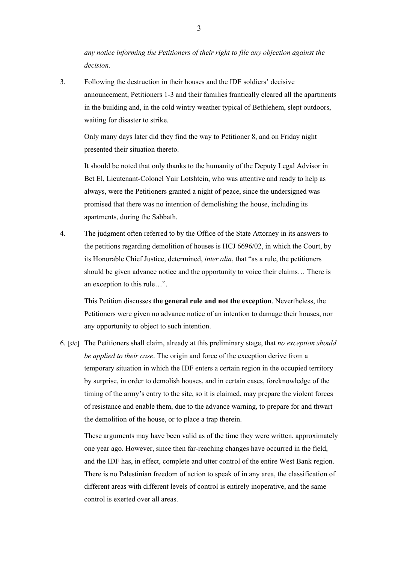*any notice informing the Petitioners of their right to file any objection against the decision.* 

3. Following the destruction in their houses and the IDF soldiers' decisive announcement, Petitioners 1-3 and their families frantically cleared all the apartments in the building and, in the cold wintry weather typical of Bethlehem, slept outdoors, waiting for disaster to strike.

Only many days later did they find the way to Petitioner 8, and on Friday night presented their situation thereto.

It should be noted that only thanks to the humanity of the Deputy Legal Advisor in Bet El, Lieutenant-Colonel Yair Lotshtein, who was attentive and ready to help as always, were the Petitioners granted a night of peace, since the undersigned was promised that there was no intention of demolishing the house, including its apartments, during the Sabbath.

4. The judgment often referred to by the Office of the State Attorney in its answers to the petitions regarding demolition of houses is HCJ 6696/02, in which the Court, by its Honorable Chief Justice, determined, *inter alia*, that "as a rule, the petitioners should be given advance notice and the opportunity to voice their claims… There is an exception to this rule…".

This Petition discusses **the general rule and not the exception**. Nevertheless, the Petitioners were given no advance notice of an intention to damage their houses, nor any opportunity to object to such intention.

6. [*sic*] The Petitioners shall claim, already at this preliminary stage, that *no exception should be applied to their case*. The origin and force of the exception derive from a temporary situation in which the IDF enters a certain region in the occupied territory by surprise, in order to demolish houses, and in certain cases, foreknowledge of the timing of the army's entry to the site, so it is claimed, may prepare the violent forces of resistance and enable them, due to the advance warning, to prepare for and thwart the demolition of the house, or to place a trap therein.

These arguments may have been valid as of the time they were written, approximately one year ago. However, since then far-reaching changes have occurred in the field, and the IDF has, in effect, complete and utter control of the entire West Bank region. There is no Palestinian freedom of action to speak of in any area, the classification of different areas with different levels of control is entirely inoperative, and the same control is exerted over all areas.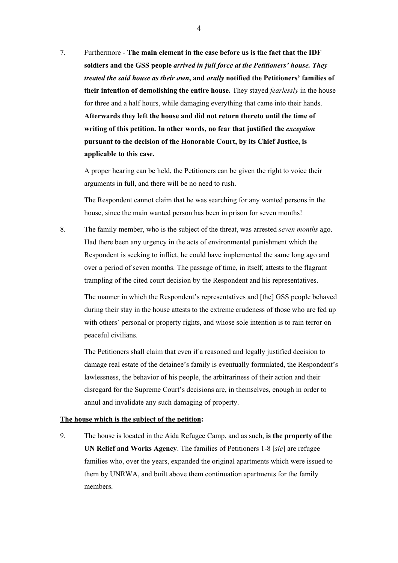7. Furthermore - **The main element in the case before us is the fact that the IDF soldiers and the GSS people** *arrived in full force at the Petitioners' house. They treated the said house as their own***, and** *orally* **notified the Petitioners' families of their intention of demolishing the entire house.** They stayed *fearlessly* in the house for three and a half hours, while damaging everything that came into their hands. **Afterwards they left the house and did not return thereto until the time of writing of this petition. In other words, no fear that justified the** *exception* **pursuant to the decision of the Honorable Court, by its Chief Justice, is applicable to this case.** 

A proper hearing can be held, the Petitioners can be given the right to voice their arguments in full, and there will be no need to rush.

The Respondent cannot claim that he was searching for any wanted persons in the house, since the main wanted person has been in prison for seven months!

8. The family member, who is the subject of the threat, was arrested *seven months* ago. Had there been any urgency in the acts of environmental punishment which the Respondent is seeking to inflict, he could have implemented the same long ago and over a period of seven months. The passage of time, in itself, attests to the flagrant trampling of the cited court decision by the Respondent and his representatives.

The manner in which the Respondent's representatives and [the] GSS people behaved during their stay in the house attests to the extreme crudeness of those who are fed up with others' personal or property rights, and whose sole intention is to rain terror on peaceful civilians.

The Petitioners shall claim that even if a reasoned and legally justified decision to damage real estate of the detainee's family is eventually formulated, the Respondent's lawlessness, the behavior of his people, the arbitrariness of their action and their disregard for the Supreme Court's decisions are, in themselves, enough in order to annul and invalidate any such damaging of property.

#### **The house which is the subject of the petition:**

9. The house is located in the Aida Refugee Camp, and as such, **is the property of the UN Relief and Works Agency**. The families of Petitioners 1-8 [*sic*] are refugee families who, over the years, expanded the original apartments which were issued to them by UNRWA, and built above them continuation apartments for the family members.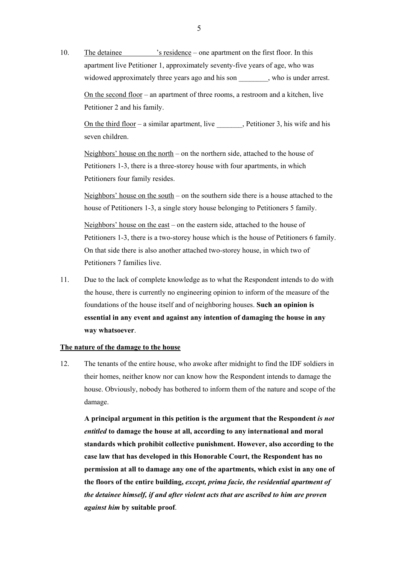10. The detainee 's residence – one apartment on the first floor. In this apartment live Petitioner 1, approximately seventy-five years of age, who was widowed approximately three years ago and his son , who is under arrest.

On the second floor – an apartment of three rooms, a restroom and a kitchen, live Petitioner 2 and his family.

On the third floor – a similar apartment, live  $\qquad$ , Petitioner 3, his wife and his seven children.

Neighbors' house on the north – on the northern side, attached to the house of Petitioners 1-3, there is a three-storey house with four apartments, in which Petitioners four family resides.

Neighbors' house on the south – on the southern side there is a house attached to the house of Petitioners 1-3, a single story house belonging to Petitioners 5 family.

Neighbors' house on the east – on the eastern side, attached to the house of Petitioners 1-3, there is a two-storey house which is the house of Petitioners 6 family. On that side there is also another attached two-storey house, in which two of Petitioners 7 families live.

11. Due to the lack of complete knowledge as to what the Respondent intends to do with the house, there is currently no engineering opinion to inform of the measure of the foundations of the house itself and of neighboring houses. **Such an opinion is essential in any event and against any intention of damaging the house in any way whatsoever**.

#### **The nature of the damage to the house**

12. The tenants of the entire house, who awoke after midnight to find the IDF soldiers in their homes, neither know nor can know how the Respondent intends to damage the house. Obviously, nobody has bothered to inform them of the nature and scope of the damage.

**A principal argument in this petition is the argument that the Respondent** *is not entitled* **to damage the house at all, according to any international and moral standards which prohibit collective punishment. However, also according to the case law that has developed in this Honorable Court, the Respondent has no permission at all to damage any one of the apartments, which exist in any one of the floors of the entire building,** *except, prima facie, the residential apartment of the detainee himself, if and after violent acts that are ascribed to him are proven against him* **by suitable proof**.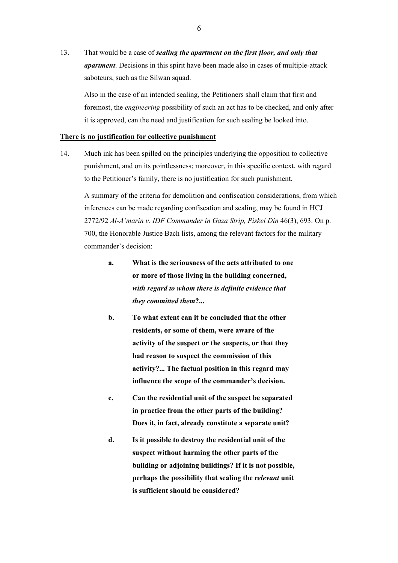13. That would be a case of *sealing the apartment on the first floor, and only that apartment*. Decisions in this spirit have been made also in cases of multiple-attack saboteurs, such as the Silwan squad.

Also in the case of an intended sealing, the Petitioners shall claim that first and foremost, the *engineering* possibility of such an act has to be checked, and only after it is approved, can the need and justification for such sealing be looked into.

#### **There is no justification for collective punishment**

14. Much ink has been spilled on the principles underlying the opposition to collective punishment, and on its pointlessness; moreover, in this specific context, with regard to the Petitioner's family, there is no justification for such punishment.

A summary of the criteria for demolition and confiscation considerations, from which inferences can be made regarding confiscation and sealing, may be found in HCJ 2772/92 *Al-A'marin v. IDF Commander in Gaza Strip, Piskei Din* 46(3), 693. On p. 700, the Honorable Justice Bach lists, among the relevant factors for the military commander's decision:

- **a. What is the seriousness of the acts attributed to one or more of those living in the building concerned,**  *with regard to whom there is definite evidence that they committed them***?...**
- **b. To what extent can it be concluded that the other residents, or some of them, were aware of the activity of the suspect or the suspects, or that they had reason to suspect the commission of this activity?... The factual position in this regard may influence the scope of the commander's decision.**
- **c. Can the residential unit of the suspect be separated in practice from the other parts of the building? Does it, in fact, already constitute a separate unit?**
- **d. Is it possible to destroy the residential unit of the suspect without harming the other parts of the building or adjoining buildings? If it is not possible, perhaps the possibility that sealing the** *relevant* **unit is sufficient should be considered?**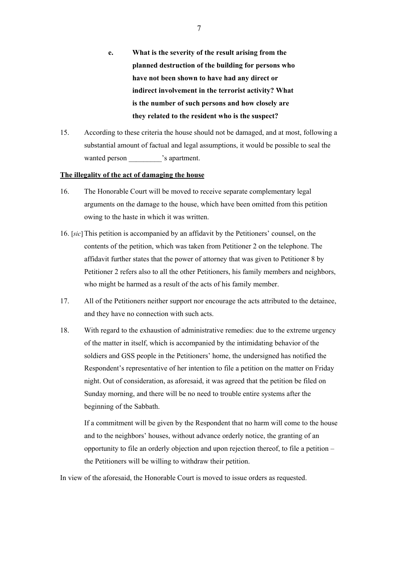- **e. What is the severity of the result arising from the planned destruction of the building for persons who have not been shown to have had any direct or indirect involvement in the terrorist activity? What is the number of such persons and how closely are they related to the resident who is the suspect?**
- 15. According to these criteria the house should not be damaged, and at most, following a substantial amount of factual and legal assumptions, it would be possible to seal the wanted person  $\cdot$  s apartment.

# **The illegality of the act of damaging the house**

- 16. The Honorable Court will be moved to receive separate complementary legal arguments on the damage to the house, which have been omitted from this petition owing to the haste in which it was written.
- 16. [*sic*] This petition is accompanied by an affidavit by the Petitioners' counsel, on the contents of the petition, which was taken from Petitioner 2 on the telephone. The affidavit further states that the power of attorney that was given to Petitioner 8 by Petitioner 2 refers also to all the other Petitioners, his family members and neighbors, who might be harmed as a result of the acts of his family member.
- 17. All of the Petitioners neither support nor encourage the acts attributed to the detainee, and they have no connection with such acts.
- 18. With regard to the exhaustion of administrative remedies: due to the extreme urgency of the matter in itself, which is accompanied by the intimidating behavior of the soldiers and GSS people in the Petitioners' home, the undersigned has notified the Respondent's representative of her intention to file a petition on the matter on Friday night. Out of consideration, as aforesaid, it was agreed that the petition be filed on Sunday morning, and there will be no need to trouble entire systems after the beginning of the Sabbath.

If a commitment will be given by the Respondent that no harm will come to the house and to the neighbors' houses, without advance orderly notice, the granting of an opportunity to file an orderly objection and upon rejection thereof, to file a petition – the Petitioners will be willing to withdraw their petition.

In view of the aforesaid, the Honorable Court is moved to issue orders as requested.

7